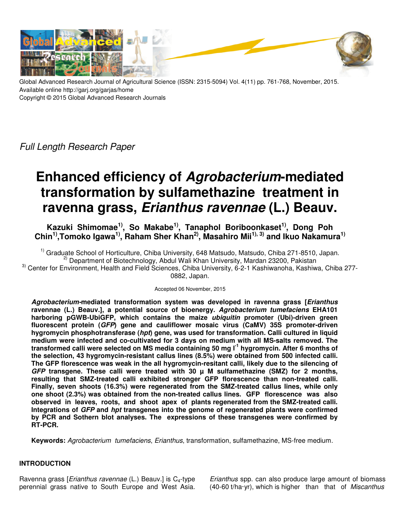

Global Advanced Research Journal of Agricultural Science (ISSN: 2315-5094) Vol. 4(11) pp. 761-768, November, 2015. Available online http://garj.org/garjas/home Copyright © 2015 Global Advanced Research Journals

Full Length Research Paper

# **Enhanced efficiency of Agrobacterium-mediated transformation by sulfamethazine treatment in ravenna grass, Erianthus ravennae (L.) Beauv.**

**Kazuki Shimomae1), So Makabe1), Tanaphol Boriboonkaset1), Dong Poh Chin1),Tomoko Igawa1), Raham Sher Khan2), Masahiro Mii1), 3) and Ikuo Nakamura1)**

<sup>1)</sup> Graduate School of Horticulture, Chiba University, 648 Matsudo, Matsudo, Chiba 271-8510, Japan. <sup>2)</sup> Department of Biotechnology, Abdul Wali Khan University, Mardan 23200, Pakistan 3) Center for Environment, Health and Field Sciences, Chiba University, 6-2-1 Kashiwanoha, Kashiwa, Chiba 277- 0882, Japan.

## Accepted 06 November, 2015

**Agrobacterium-mediated transformation system was developed in ravenna grass [Erianthus ravennae (L.) Beauv.], a potential source of bioenergy. Agrobacterium tumefaciens EHA101 harboring pGWB-UbiGFP, which contains the maize ubiquitin promoter (Ubi)-driven green fluorescent protein (GFP) gene and cauliflower mosaic virus (CaMV) 35S promoter-driven hygromycin phosphotransferase (hpt) gene, was used for transformation. Calli cultured in liquid medium were infected and co-cultivated for 3 days on medium with all MS-salts removed. The transformed calli were selected on MS media containing 50 mg l-1 hygromycin. After 6 months of the selection, 43 hygromycin-resistant callus lines (8.5%) were obtained from 500 infected calli. The GFP florescence was weak in the all hygromycin-resitant calli, likely due to the silencing of GFP transgene. These calli were treated with 30 µ M sulfamethazine (SMZ) for 2 months, resulting that SMZ-treated calli exhibited stronger GFP florescence than non-treated calli. Finally, seven shoots (16.3%) were regenerated from the SMZ-treated callus lines, while only one shoot (2.3%) was obtained from the non-treated callus lines. GFP florescence was also observed in leaves, roots, and shoot apex of plants regenerated from the SMZ-treated calli. Integrations of GFP and hpt transgenes into the genome of regenerated plants were confirmed by PCR and Sothern blot analyses. The expressions of these transgenes were confirmed by RT-PCR.** 

**Keywords:** Agrobacterium tumefaciens, Erianthus, transformation, sulfamethazine, MS-free medium.

# **INTRODUCTION**

Ravenna grass [*Erianthus ravennae* (L.) Beauv.] is  $C_4$ -type perennial grass native to South Europe and West Asia. Erianthus spp. can also produce large amount of biomass (40-60 t/ha·yr), which is higher than that of Miscanthus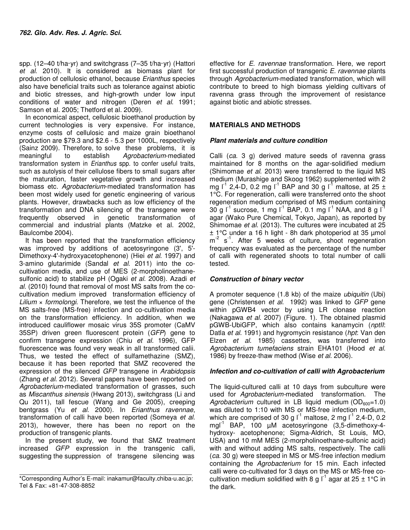spp. (12–40 t/ha·yr) and switchgrass (7–35 t/ha·yr) (Hattori et al. 2010). It is considered as biomass plant for production of cellulosic ethanol, because Erianthus species also have beneficial traits such as tolerance against abiotic and biotic stresses, and high-growth under low input conditions of water and nitrogen (Deren et al. 1991; Samson et al. 2005; Thetford et al. 2009).

In economical aspect, cellulosic bioethanol production by current technologies is very expensive. For instance, enzyme costs of cellulosic and maize grain bioethanol production are \$79.3 and \$2.6 - 5.3 per 1000L, respectively (Sainz 2009). Therefore, to solve these problems, it is meaningful to establish Agrobacterium-mediated transformation system in *Erianthus* spp. to confer useful traits, such as autolysis of their cellulose fibers to small sugars after the maturation, faster vegetative growth and increased biomass etc. Agrobacterium-mediated transformation has been most widely used for genetic engineering of various plants. However, drawbacks such as low efficiency of the transformation and DNA silencing of the transgene were frequently observed in genetic transformation of commercial and industrial plants (Matzke et al. 2002, Baulcombe 2004).

It has been reported that the transformation efficiency was improved by additions of acetosyringone (3', 5'- Dimethoxy-4'-hydroxyacetophenone) (Hiei et al. 1997) and 3-amino glutarimide (Sandal et al. 2011) into the cocultivation media, and use of MES (2-morpholinoethanesulfonic acid) to stabilize pH (Ogaki et al. 2008). Azadi et al. (2010) found that removal of most MS salts from the cocultivation medium improved transformation efficiency of Lilium  $\times$  formolongi. Therefore, we test the influence of the MS salts-free (MS-free) infection and co-cultivation media on the transformation efficiency. In addition, when we introduced cauliflower mosaic virus 35S promoter (CaMV 35SP) driven green fluorescent protein (GFP) gene to confirm transgene expression (Chiu et al. 1996), GFP fluorescence was found very weak in all transformed calii. Thus, we tested the effect of sulfamethazine (SMZ), because it has been reported that SMZ recovered the expression of the silenced GFP transgene in Arabidopsis (Zhang et al. 2012). Several papers have been reported on Agrobacterium-mediated transformation of grasses, such as Miscanthus sinensis (Hwang 2013), switchgrass (Li and Qu 2011), tall fescue (Wang and Ge 2005), creeping bentgrass (Yu et al. 2000). In Erianthus ravennae, transformation of calli have been reported (Someya et al. 2013), however, there has been no report on the production of transgenic plants.

In the present study, we found that SMZ treatment increased GFP expression in the transgenic calli, suggesting the suppression of transgene silencing was

effective for E. ravennae transformation. Here, we report first successful production of transgenic E. ravennae plants through Agrobacterium-mediated transformation, which will contribute to breed to high biomass yielding cultivars of ravenna grass through the improvement of resistance against biotic and abiotic stresses.

# **MATERIALS AND METHODS**

# **Plant materials and culture condition**

Calli (ca. 3 g) derived mature seeds of ravenna grass maintained for 8 months on the agar-solidified medium (Shimomae et al. 2013) were transferred to the liquid MS medium (Murashige and Skoog 1962) supplemented with 2 mg  $I^1$  2,4-D, 0.2 mg  $I^1$  BAP and 30 g  $I^1$  maltose, at 25 ± 1°C. For regeneration, calli were transferred onto the shoot regeneration medium comprised of MS medium containing 30 g  $I^1$  sucrose, 1 mg  $I^1$  BAP, 0.1 mg  $I^1$  NAA, and 8 g  $I^1$ agar (Wako Pure Chemical, Tokyo, Japan), as reported by Shimomae et al. (2013). The cultures were incubated at 25 ± 1°C under a 16 h light - 8h dark photoperiod at 35 µmol  $m<sup>2</sup>$  s<sup>1</sup>. After 5 weeks of culture, shoot regeneration frequency was evaluated as the percentage of the number of calli with regenerated shoots to total number of calli tested.

# **Construction of binary vector**

A promoter sequence (1.8 kb) of the maize ubiquitin (Ubi) gene (Christensen et al. 1992) was linked to GFP gene within pGWB4 vector by using LR clonase reaction (Nakagawa et al. 2007) (Figure. 1). The obtained plasmid pGWB-UbiGFP, which also contains kanamycin (nptII: Datla et al. 1991) and hygromycin resistance (hpt: Van den Elzen et al. 1985) cassettes, was transferred into Agrobacterium tumefaciens strain EHA101 (Hood et al. 1986) by freeze-thaw method (Wise et al. 2006).

## **Infection and co-cultivation of calli with Agrobacterium**

The liquid-cultured calli at 10 days from subculture were used for Agrobacterium-mediated transformation. The Agrobacterium cultured in LB liquid medium ( $OD<sub>600</sub>=1.0$ ) was diluted to 1:10 with MS or MS-free infection medium, which are comprised of 30 g  $I^1$  maltose, 2 mg  $I^1$  2,4-D, 0.2 mgl<sup>-1</sup> BAP, 100  $\mu$ M acetosyringone (3,5-dimethoxy-4hydroxy- acetophenone; Sigma-Aldrich, St Louis, MO, USA) and 10 mM MES (2-morpholinoethane-sulfonic acid) with and without adding MS salts, respectively. The calli (ca. 30 g) were steeped in MS or MS-free infection medium containing the Agrobacterium for 15 min. Each infected calli were co-cultivated for 3 days on the MS or MS-free cocultivation medium solidified with 8 g  $I^1$  agar at 25 ± 1°C in the dark.

<sup>\*</sup>Corresponding Author's E-mail: inakamur@faculty.chiba-u.ac.jp; Tel & Fax: +81-47-308-8852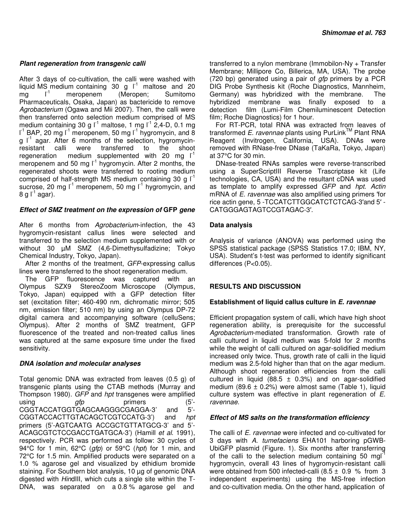## **Plant regeneration from transgenic calli**

After 3 days of co-cultivation, the calli were washed with liquid MS medium containing  $30 \text{ g}$   $\text{r}^1$  maltose and 20 mg  $I^1$  meropenem (Meropen; Sumitomo Pharmaceuticals, Osaka, Japan) as bactericide to remove Agrobacterium (Ogawa and Mii 2007). Then, the calli were then transferred onto selection medium comprised of MS medium containing 30 g  $I^1$  maltose, 1 mg  $I^1$  2,4-D, 0.1 mg  $I^1$  BAP, 20 mg  $I^1$  meropenem, 50 mg  $I^1$  hygromycin, and 8 g  $I^1$  agar. After 6 months of the selection, hygromycinresistant calli were transferred to the shoot regeneration medium supplemented with 20 mg  $I^1$ meropenem and 50 mg  $I^1$  hygromycin. After 2 months, the regenerated shoots were transferred to rooting medium comprised of half-strength MS medium containing 30 g  $I^1$ sucrose, 20 mg  $I^1$  meropenem, 50 mg  $I^1$  hygromycin, and 8 g  $I^1$  agar).

# **Effect of SMZ treatment on the expression of GFP gene**

After 6 months from Agrobacterium-infection, the 43 hygromycin-resistant callus lines were selected and transferred to the selection medium supplemented with or without 30 µM SMZ (4,6-Dimethysulfadizine; Tokyo Chemical Industry, Tokyo, Japan).

After 2 months of the treatment, GFP-expressing callus lines were transferred to the shoot regeneration medium.

The GFP fluorescence was captured with an Olympus SZX9 StereoZoom Microscope (Olympus, Tokyo, Japan) equipped with a GFP detection filter set (excitation filter; 460-490 nm, dichromatic mirror; 505 nm, emission filter; 510 nm) by using an Olympus DP-72 digital camera and accompanying software (celluSens; Olympus). After 2 months of SMZ treatment, GFP fluorescence of the treated and non-treated callus lines was captured at the same exposure time under the fixed sensitivity.

## **DNA isolation and molecular analyses**

Total genomic DNA was extracted from leaves (0.5 g) of transgenic plants using the CTAB methods (Murray and Thompson 1980). GFP and hpt transgenes were amplified using gfp primers (5'-<br>CGGTACCATGGTGAGCAAGGGCGAGGA-3' and 5'-CGGTACCATGGTGAGCAAGGGCGAGGA-3' and CGGTACCACTTGTACAGCTCGTCCATG-3') and hpt primers (5'-AGTCAATG ACCGCTGTTATGCG-3' and 5'- ACAGCGTCTCCGACCTGATGCA-3') (Hamill et al. 1991), respectively. PCR was performed as follow: 30 cycles of 94°C for 1 min, 62°C (gfp) or 59°C (hpt) for 1 min, and 72°C for 1.5 min. Amplified products were separated on a 1.0 % agarose gel and visualized by ethidium bromide staining. For Southern blot analysis, 10 µg of genomic DNA digested with HindIII, which cuts a single site within the T-DNA, was separated on a 0.8 % agarose gel and

transferred to a nylon membrane (Immobilon-Ny + Transfer Membrane; Millipore Co, Billerica, MA, USA). The probe (720 bp) generated using a pair of *gfp* primers by a PCR DIG Probe Synthesis kit (Roche Diagnostics, Mannheim, Germany) was hybridized with the membrane. The hybridized membrane was finally exposed to a detection film (Lumi-Film Chemiluminescent Detection film; Roche Diagnostics) for 1 hour.

For RT-PCR, total RNA was extracted from leaves of transformed E. ravennae plants using PurLink<sup>TM</sup> Plant RNA Reagent (Invitrogen, California, USA). DNAs were removed with RNase-free DNase (TaKaRa, Tokyo, Japan) at 37°C for 30 min.

DNase-treated RNAs samples were reverse-transcribed using a SuperScriptIII Reverse Trascriptase kit (Life technologies, CA, USA) and the resultant cDNA was used as template to amplify expressed GFP and hpt. Actin mRNA of E. ravennae was also amplified using primers 'for rice actin gene, 5 -TCCATCTTGGCATCTCTCAG-3′and 5′ - CATGGGAGTAGTCCGTAGAC-3′.

# **Data analysis**

Analysis of variance (ANOVA) was performed using the SPSS statistical package (SPSS Statistics 17.0; IBM, NY, USA). Student's t-test was performed to identify significant differences (P<0.05).

# **RESULTS AND DISCUSSION**

## **Establishment of liquid callus culture in E. ravennae**

Efficient propagation system of calli, which have high shoot regeneration ability, is prerequisite for the successful Agrobacterium-mediated transformation. Growth rate of calli cultured in liquid medium was 5-fold for 2 months while the weight of calli cultured on agar-solidified medium increased only twice. Thus, growth rate of calli in the liquid medium was 2.5-fold higher than that on the agar medium. Although shoot regeneration efficiencies from the calli cultured in liquid (88.5  $\pm$  0.3%) and on agar-solidified medium (89.6  $\pm$  0.2%) were almost same (Table 1), liquid culture system was effective in plant regeneration of E. ravennae.

## **Effect of MS salts on the transformation efficiency**

The calli of E. ravennae were infected and co-cultivated for 3 days with A. tumefaciens EHA101 harboring pGWB-UbiGFP plasmid (Figure. 1). Six months after transferring of the calli to the selection medium containing 50 mgl<sup>-1</sup> hygromycin, overall 43 lines of hygromycin-resistant calli were obtained from 500 infected-calli  $(8.5 \pm 0.9 \%$  from 3 independent experiments) using the MS-free infection and co-cultivation media. On the other hand, application of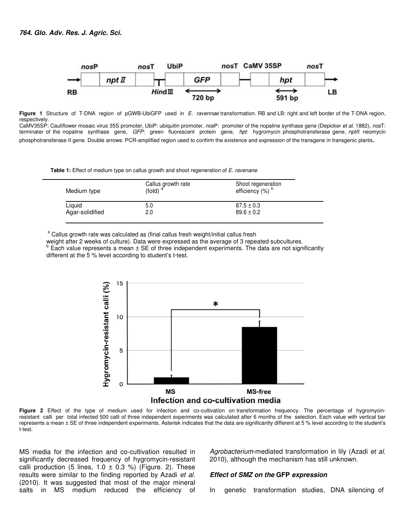

**Figure 1** Structure of T-DNA region of pGWB-UbiGFP used inE. ravennae transformation. RB and LB: right and left border of the T-DNA region, respectively.

CaMV35SP: Cauliflower mosaic virus 35S promoter, UbiP: ubiquitin promoter, nosP: promoter of the nopaline synthase gene (Depicker et al. 1882), nosT: terminater of the nopaline synthase gene, GFP: green fluorescent protein gene, hpt: hygromycin phosphotransferase gene, nptll: neomycin phosphotransferase II gene. Double arrows: PCR-amplified region used to confirm the existence and expression of the transgene in transgenic plants.

**Table 1:** Effect of medium type on callus growth and shoot regeneration of *E. ravenane* 

| Medium type     | Callus growth rate<br>$(fold)$ <sup>a</sup> | Shoot regeneration<br>efficiency (%) <sup>b</sup> |
|-----------------|---------------------------------------------|---------------------------------------------------|
| Liguid          | 5.0                                         | $87.5 \pm 0.3$                                    |
| Agar-solidified | 2.0                                         | $89.6 \pm 0.2$                                    |

<sup>a</sup> Callus growth rate was calculated as (final callus fresh weight/initial callus fresh

weight after 2 weeks of culture). Data were expressed as the average of 3 repeated subcultures.

 $<sup>b</sup>$  Each value represents a mean  $\pm$  SE of three independent experiments. The data are not significantly</sup> different at the 5 % level according to student's t-test.



**Figure 2** Effect of the type of medium used for infection and co-cultivation on transformation frequency. The percentage of hygromycinresistant calli per total infected 500 calli of three independent experiments was calculated after 6 months of the selection. Each value with vertical bar represents a mean ± SE of three independent experiments. Asterisk indicates that the data are significantly different at 5 % level according to the student's t-test.

MS media for the infection and co-cultivation resulted in significantly decreased frequency of hygromycin-resistant calli production (5 lines,  $1.0 \pm 0.3$  %) (Figure. 2). These results were similar to the finding reported by Azadi et al. (2010). It was suggested that most of the major mineral salts in MS medium reduced the efficiency of Agrobacterium-mediated transformation in lily (Azadi et al. 2010), although the mechanism has still unknown.

#### **Effect of SMZ on the GFP expression**

In genetic transformation studies, DNA silencing of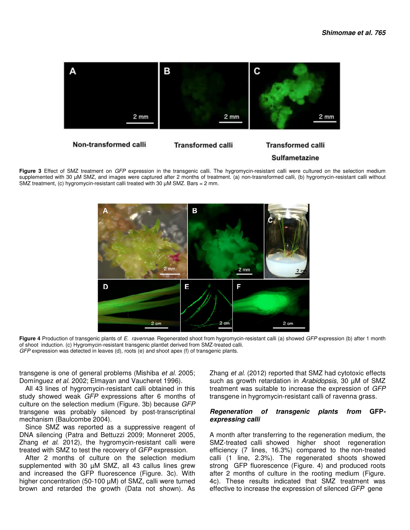

**Figure 3** Effect of SMZ treatment on GFP expression in the transgenic calli. The hygromycin-resistant calli were cultured on the selection medium supplemented with 30 µM SMZ, and images were captured after 2 months of treatment. (a) non-trasnsformed calli, (b) hygromycin-resistant calli without SMZ treatment, (c) hygromycin-resistant calli treated with 30  $\mu$ M SMZ. Bars = 2 mm.



Figure 4 Production of transgenic plants of E. ravennae. Regenerated shoot from hygromycin-resistant calli (a) showed GFP expression (b) after 1 month of shoot induction. (c) Hygromycin-resistant transgenic plantlet derived from SMZ-treated calli. GFP expression was detected in leaves (d), roots (e) and shoot apex (f) of transgenic plants.

transgene is one of general problems (Mishiba et al. 2005; Domínguez et al. 2002; Elmayan and Vaucheret 1996).

All 43 lines of hygromycin-resistant calli obtained in this study showed weak GFP expressions after 6 months of culture on the selection medium (Figure. 3b) because GFP transgene was probably silenced by post-transcriptinal mechanism (Baulcombe 2004).

Since SMZ was reported as a suppressive reagent of DNA silencing (Patra and Bettuzzi 2009; Monneret 2005, Zhang et al. 2012), the hygromycin-resistant calli were treated with SMZ to test the recovery of GFP expression.

After 2 months of culture on the selection medium supplemented with 30 µM SMZ, all 43 callus lines grew and increased the GFP fluorescence (Figure. 3c). With higher concentration (50-100 µM) of SMZ, calli were turned brown and retarded the growth (Data not shown). As

Zhang et al. (2012) reported that SMZ had cytotoxic effects such as growth retardation in Arabidopsis, 30 µM of SMZ treatment was suitable to increase the expression of GFP transgene in hygromycin-resistant calli of ravenna grass.

#### **Regeneration of transgenic plants from GFPexpressing calli**

A month after transferring to the regeneration medium, the SMZ-treated calli showed higher shoot regeneration efficiency (7 lines, 16.3%) compared to the non-treated calli (1 line, 2.3%). The regenerated shoots showed strong GFP fluorescence (Figure. 4) and produced roots after 2 months of culture in the rooting medium (Figure. 4c). These results indicated that SMZ treatment was effective to increase the expression of silenced GFP gene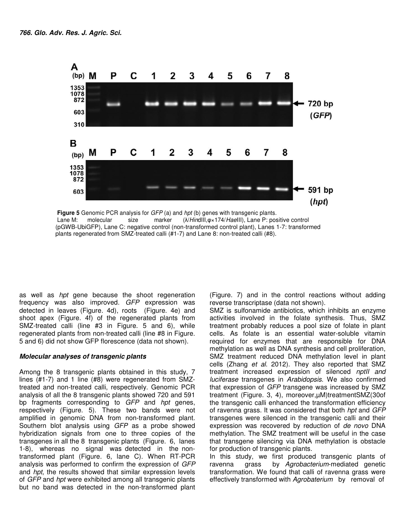

**Figure 5** Genomic PCR analysis for GFP (a) and hpt (b) genes with transgenic plants. Lane M: molecular size marker (λ/HindIII, φ x 174/HaeIII), Lane P: positive control (pGWB-UbiGFP), Lane C: negative control (non-transformed control plant), Lanes 1-7: transformed plants regenerated from SMZ-treated calli (#1-7) and Lane 8: non-treated calli (#8).

as well as hpt gene because the shoot regeneration frequency was also improved. GFP expression was detected in leaves (Figure. 4d), roots (Figure. 4e) and shoot apex (Figure. 4f) of the regenerated plants from SMZ-treated calli (line #3 in Figure. 5 and 6), while regenerated plants from non-treated calli (line #8 in Figure. 5 and 6) did not show GFP florescence (data not shown).

#### **Molecular analyses of transgenic plants**

Among the 8 transgenic plants obtained in this study, 7 lines (#1-7) and 1 line (#8) were regenerated from SMZtreated and non-treated calli, respectively. Genomic PCR analysis of all the 8 transgenic plants showed 720 and 591 bp fragments corresponding to GFP and hpt genes, respectively (Figure. 5). These two bands were not amplified in genomic DNA from non-transformed plant. Southern blot analysis using GFP as a probe showed hybridization signals from one to three copies of the transgenes in all the 8 transgenic plants (Figure. 6, lanes 1-8), whereas no signal was detected in the nontransformed plant (Figure. 6, lane C). When RT-PCR analysis was performed to confirm the expression of GFP and *hpt*, the results showed that similar expression levels of GFP and hpt were exhibited among all transgenic plants but no band was detected in the non-transformed plant

(Figure. 7) and in the control reactions without adding reverse transcriptase (data not shown).

SMZ is sulfonamide antibiotics, which inhibits an enzyme activities involved in the folate synthesis. Thus, SMZ treatment probably reduces a pool size of folate in plant cells. As folate is an essential water-soluble vitamin required for enzymes that are responsible for DNA methylation as well as DNA synthesis and cell proliferation, SMZ treatment reduced DNA methylation level in plant cells (Zhang et al. 2012). They also reported that SMZ treatment increased expression of silenced nptII and luciferase transgenes in Arabidopsis. We also confirmed that expression of GFP transgene was increased by SMZ treatment (Figure. 3, 4), moreover,µM)treatmentSMZ(30of the transgenic calli enhanced the transformation efficiency of ravenna grass. It was considered that both hpt and GFP transgenes were silenced in the transgenic calli and their expression was recovered by reduction of de novo DNA methylation. The SMZ treatment will be useful in the case that transgene silencing via DNA methylation is obstacle for production of transgenic plants.

In this study, we first produced transgenic plants of ravenna grass by Agrobacterium-mediated genetic transformation. We found that calli of ravenna grass were effectively transformed with Agrobaterium by removal of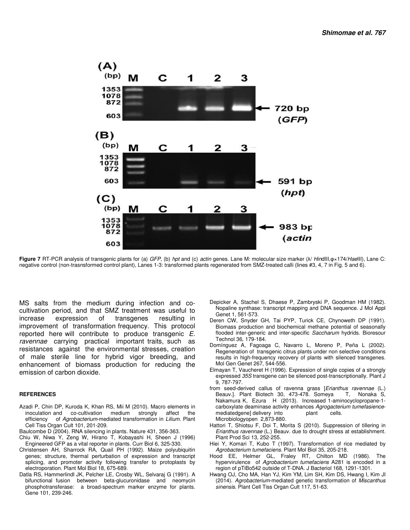

**Figure 7** RT-PCR analysis of transgenic plants for (a) GFP, (b) hpt and (c) actin genes. Lane M: molecular size marker (λ/ HindIII,φ×174/HaeIII), Lane C: negative control (non-trasnsformed control plant), Lanes 1-3: transformed plants regenerated from SMZ-treated calli (lines #3, 4, 7 in Fig. 5 and 6).

MS salts from the medium during infection and cocultivation period, and that SMZ treatment was useful to increase expression of transgenes resulting in improvement of transformation frequency. This protocol reported here will contribute to produce transgenic E. ravennae carrying practical important traits, such as resistances against the environmental stresses, creation of male sterile line for hybrid vigor breeding, and enhancement of biomass production for reducing the emission of carbon dioxide.

#### **REFERENCES**

- Azadi P, Chin DP, Kuroda K, Khan RS, Mii M (2010). Macro elements in inoculation and co-cultivation medium strongly affect the efficiency of Agrobacterium-mediated transformation in Lilium. Plant Cell Tiss Organ Cult 101, 201-209.
- Baulcombe D (2004). RNA silencing in plants. Nature 431, 356-363.
- Chiu W, Niwa Y, Zeng W, Hirano T, Kobayashi H, Sheen J (1996) Engineered GFP as a vital reporter in plants. Curr Biol 6, 325-330.
- Christensen AH, Sharrock RA, Quail PH (1992). Maize polyubiquitin genes; structure, thermal perturbation of expression and transcript splicing, and promoter activity following transfer to protoplasts by electroporation. Plant Mol Biol 18, 675-689.
- Datla RS, Hammerlindl JK, Pelcher LE, Crosby WL, Selvaraj G (1991). A bifunctional fusion between beta-glucuronidase and neomycin phosphotransferase: a broad-spectrum marker enzyme for plants. Gene 101, 239-246.
- Depicker A, Stachel S, Dhaese P, Zambryski P, Goodman HM (1982). Nopaline synthase: transcript mapping and DNA sequence. J Mol Appl Genet 1, 561-573.
- Deren CW, Snyder GH, Tai PYP, Turick CE, Chynoweth DP (1991). Biomass production and biochemical methane potential of seasonally flooded inter-generic and inter-specific Saccharum hydrids. Bioresour Technol 36, 179-184.
- Domínguez A, Fagoaga C, Navarro L, Moreno P, Peña L (2002). Regeneration of transgenic citrus plants under non selective conditions results in high-frequency recovery of plants with silenced transgenes. Mol Gen Genet 267, 544-556.
- Elmayan T, Vaucheret H (1996). Expression of single copies of a strongly expressed 35S transgene can be silenced post-transcriptionally. Plant J 9, 787-797.
- from seed-derived callus of ravenna grass [Erianthus ravennae (L.) Beauv.]. Plant Biotech 30, 473-478. Someya T, Nonaka S, Nakamura K, Ezura H (2013). Increased 1-aminocyclopropane-1 carboxylate deaminase activity enhances Agrogacterium tumefasiencemediatedgene] delivery into blant cells. Microbiologyopen 2,873-880.
- Hattori T, Shiotsu F, Doi T, Morita S (2010). Suppression of tillering in Erianthus ravennae (L.) Beauv. due to drought stress at establishment. Plant Prod Sci 13, 252-255.
- Hiei Y, Komari T, Kubo T (1997). Transformation of rice mediated by Agrobacterium tumefaciens. Plant Mol Biol 35, 205-218.
- Hood EE, Helmer GL, Fraley RT, Chilton MD (1986). The hypervirulence of Agrobacterium tumefaciens A281 is encoded in a region of pTiBo542 outside of T-DNA. J Bacteriol 168, 1291-1301.
- Hwang OJ, Cho MA, Han YJ, Kim YM, Lim SH, Kim DS, Hwang I, Kim JI (2014). Agrobacterium-mediated genetic transformation of Miscanthus sinensis. Plant Cell Tiss Organ Cult 117, 51-63.